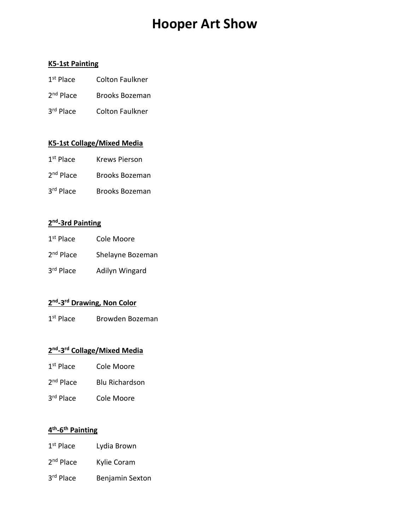# **Hooper Art Show**

#### **K5-1st Painting**

- 1<sup>st</sup> Place Colton Faulkner
- 2<sup>nd</sup> Place Brooks Bozeman
- 3<sup>rd</sup> Place Colton Faulkner

#### **K5-1st Collage/Mixed Media**

- 1<sup>st</sup> Place Krews Pierson
- 2<sup>nd</sup> Place Brooks Bozeman
- 3rd Place Brooks Bozeman

## **2nd-3rd Painting**

- 1<sup>st</sup> Place Cole Moore
- 2<sup>nd</sup> Place Shelayne Bozeman
- 3rd Place Adilyn Wingard

#### **2nd-3rd Drawing, Non Color**

1<sup>st</sup> Place Browden Bozeman

#### **2nd-3rd Collage/Mixed Media**

- 1<sup>st</sup> Place Cole Moore
- 2<sup>nd</sup> Place Blu Richardson
- 3rd Place Cole Moore

#### **4th-6th Painting**

- 1<sup>st</sup> Place Lydia Brown
- 2<sup>nd</sup> Place Kylie Coram
- 3rd Place Benjamin Sexton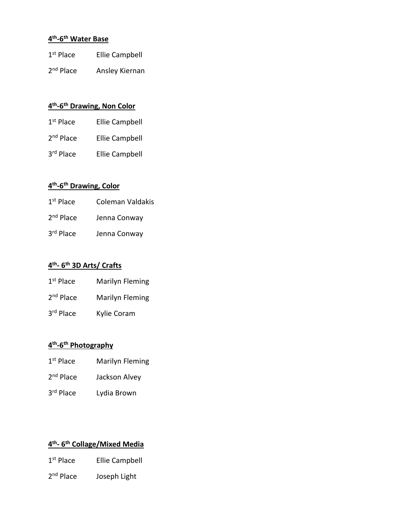# **4th-6th Water Base**

| $1st$ Place | Ellie Campbell |
|-------------|----------------|
|             |                |

2<sup>nd</sup> Place Ansley Kiernan

# **4th-6th Drawing, Non Color**

| $1st$ Place | <b>Ellie Campbell</b> |
|-------------|-----------------------|
| $2nd$ Place | <b>Ellie Campbell</b> |
| 3rd Place   | Ellie Campbell        |

# **4th-6th Drawing, Color**

| $1st$ Place           | Coleman Valdakis |
|-----------------------|------------------|
| 2 <sup>nd</sup> Place | Jenna Conway     |
| 3 <sup>rd</sup> Place | Jenna Conway     |

#### **4th- 6th 3D Arts/ Crafts**

| $1st$ Place           | Marilyn Fleming |
|-----------------------|-----------------|
| 2 <sup>nd</sup> Place | Marilyn Fleming |
| 3 <sup>rd</sup> Place | Kylie Coram     |

#### **4th-6th Photography**

- 1st Place Marilyn Fleming
- 2<sup>nd</sup> Place Jackson Alvey
- 3rd Place Lydia Brown

# **4th- 6th Collage/Mixed Media**

- 1<sup>st</sup> Place Ellie Campbell
- 2<sup>nd</sup> Place Joseph Light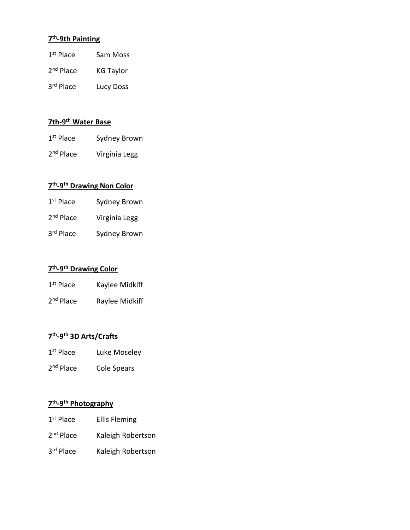## **7th-9th Painting**

| $1st$ Place | Sam Moss |
|-------------|----------|
|-------------|----------|

- 2<sup>nd</sup> Place KG Taylor
- 3rd Place Lucy Doss

# **7th-9th Water Base**

- 1<sup>st</sup> Place Sydney Brown
- 2<sup>nd</sup> Place Virginia Legg

# **7th-9th Drawing Non Color**

| $1st$ Place           | Sydney Brown  |
|-----------------------|---------------|
| 2 <sup>nd</sup> Place | Virginia Legg |
| 3 <sup>rd</sup> Place | Sydney Brown  |

### **7th-9th Drawing Color**

| $1st$ Place           | Kaylee Midkiff |
|-----------------------|----------------|
| 2 <sup>nd</sup> Place | Raylee Midkiff |

### **7th-9th 3D Arts/Crafts**

- 1<sup>st</sup> Place Luke Moseley
- 2<sup>nd</sup> Place Cole Spears

# **7th-9th Photography**

- 1<sup>st</sup> Place Ellis Fleming
- 2<sup>nd</sup> Place Kaleigh Robertson
- 3rd Place Kaleigh Robertson